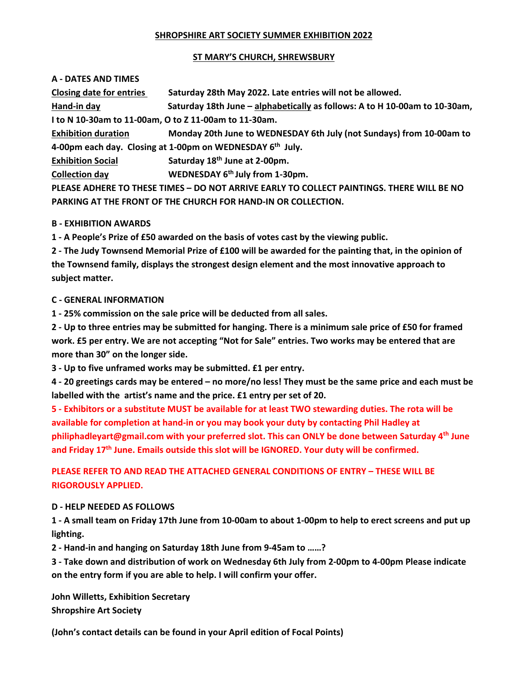## **SHROPSHIRE ART SOCIETY SUMMER EXHIBITION 2022**

### **ST MARY'S CHURCH, SHREWSBURY**

## **A ‐ DATES AND TIMES**

Closing date for entries Saturday 28th May 2022. Late entries will not be allowed.

Hand-in day **Saturday 18th June - alphabetically as follows:** A to H 10-00am to 10-30am, I to N 10-30am to 11-00am, O to Z 11-00am to 11-30am.

Exhibition duration Monday 20th June to WEDNESDAY 6th July (not Sundays) from 10-00am to 4-00pm each day. Closing at 1-00pm on WEDNESDAY 6th July.

**Exhibition Social Saturday 18<sup>th</sup> June at 2-00pm.** 

**Collection day WEDNESDAY** 6<sup>th</sup> July from 1-30pm.

**PLEASE ADHERE TO THESE TIMES – DO NOT ARRIVE EARLY TO COLLECT PAINTINGS. THERE WILL BE NO PARKING AT THE FRONT OF THE CHURCH FOR HAND‐IN OR COLLECTION.** 

# **B** - **EXHIBITION** AWARDS

1 - A People's Prize of £50 awarded on the basis of votes cast by the viewing public.

2 - The Judy Townsend Memorial Prize of £100 will be awarded for the painting that, in the opinion of **the Townsend family, displays the strongest design element and the most innovative approach to subject matter.** 

# **C** - GENERAL INFORMATION

1 - 25% commission on the sale price will be deducted from all sales.

2 - Up to three entries may be submitted for hanging. There is a minimum sale price of £50 for framed work. £5 per entry. We are not accepting "Not for Sale" entries. Two works may be entered that are more than 30" on the longer side.

3 - Up to five unframed works may be submitted. £1 per entry.

4 - 20 greetings cards may be entered – no more/no less! They must be the same price and each must be labelled with the artist's name and the price. £1 entry per set of 20.

5 - Exhibitors or a substitute MUST be available for at least TWO stewarding duties. The rota will be **available for completion at hand‐in or you may book your duty by contacting Phil Hadley at philiphadleyart@gmail.com with your preferred slot. This can ONLY be done between Saturday 4th June** and Friday 17th June. Emails outside this slot will be IGNORED. Your duty will be confirmed.

# **PLEASE REFER TO AND READ THE ATTACHED GENERAL CONDITIONS OF ENTRY – THESE WILL BE RIGOROUSLY APPLIED.**

# **D ‐ HELP NEEDED AS FOLLOWS**

1 - A small team on Friday 17th June from 10-00am to about 1-00pm to help to erect screens and put up  ${\sf lighting.}$ 

2 - Hand-in and hanging on Saturday 18th June from 9-45am to ......?

3 - Take down and distribution of work on Wednesday 6th July from 2-00pm to 4-00pm Please indicate **on the entry form if you are able to help. I will confirm your offer.** 

**John Willetts, Exhibition Secretary Shropshire Art Society**

**(John's contact details can be found in your April edition of Focal Points)**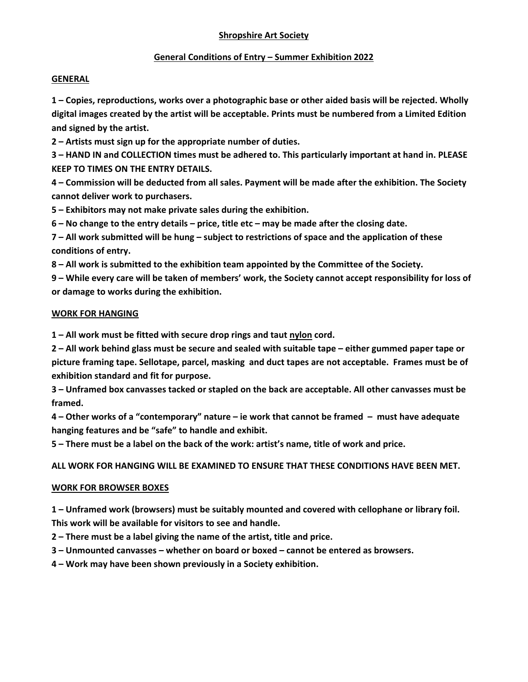## **Shropshire Art Society**

## **General Conditions of Entry – Summer Exhibition 2022**

### **GENERAL**

**1 – Copies, reproductions, works over a photographic base or other aided basis will be rejected. Wholly digital images created by the artist will be acceptable. Prints must be numbered from a Limited Edition and signed by the artist.** 

2 - Artists must sign up for the appropriate number of duties.

3 - HAND IN and COLLECTION times must be adhered to. This particularly important at hand in. PLEASE **KEEP TO TIMES ON THE ENTRY DETAILS.** 

4 – Commission will be deducted from all sales. Payment will be made after the exhibition. The Society **cannot deliver work to purchasers.** 

5 – Exhibitors may not make private sales during the exhibition.

 $6 - No$  change to the entry details – price, title etc – may be made after the closing date.

7 – All work submitted will be hung – subject to restrictions of space and the application of these **conditions of entry.** 

8 - All work is submitted to the exhibition team appointed by the Committee of the Society.

9 – While every care will be taken of members' work, the Society cannot accept responsibility for loss of **or damage to works during the exhibition.**

### **WORK FOR HANGING**

1 - All work must be fitted with secure drop rings and taut nylon cord.

2 – All work behind glass must be secure and sealed with suitable tape – either gummed paper tape or picture framing tape. Sellotape, parcel, masking and duct tapes are not acceptable. Frames must be of **exhibition standard and fit for purpose.** 

3 – Unframed box canvasses tacked or stapled on the back are acceptable. All other canvasses must be  ${\sf framed.}$ 

4 – Other works of a "contemporary" nature – ie work that cannot be framed – must have adequate hanging features and be "safe" to handle and exhibit.

5 – There must be a label on the back of the work: artist's name, title of work and price.

**ALL WORK FOR HANGING WILL BE EXAMINED TO ENSURE THAT THESE CONDITIONS HAVE BEEN MET.**

# **WORK FOR BROWSER BOXES**

**1 – Unframed work (browsers) must be suitably mounted and covered with cellophane or library foil.** This work will be available for visitors to see and handle.

2 – There must be a label giving the name of the artist, title and price.

3 - Unmounted canvasses - whether on board or boxed - cannot be entered as browsers.

**4 – Work may have been shown previously in a Society exhibition.**